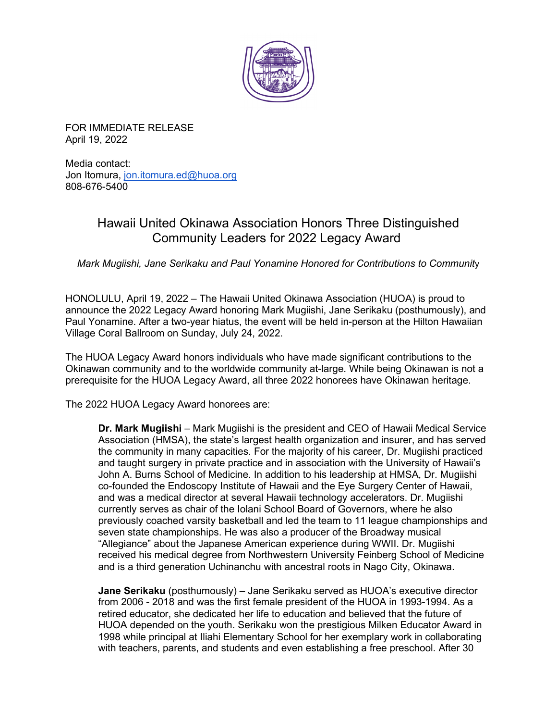

FOR IMMEDIATE RELEASE April 19, 2022

Media contact: Jon Itomura, [jon.itomura.ed@huoa.org](mailto:jon.itomura.ed@huoa.org) 808-676-5400

## Hawaii United Okinawa Association Honors Three Distinguished Community Leaders for 2022 Legacy Award

*Mark Mugiishi, Jane Serikaku and Paul Yonamine Honored for Contributions to Communit*y

HONOLULU, April 19, 2022 – The Hawaii United Okinawa Association (HUOA) is proud to announce the 2022 Legacy Award honoring Mark Mugiishi, Jane Serikaku (posthumously), and Paul Yonamine. After a two-year hiatus, the event will be held in-person at the Hilton Hawaiian Village Coral Ballroom on Sunday, July 24, 2022.

The HUOA Legacy Award honors individuals who have made significant contributions to the Okinawan community and to the worldwide community at-large. While being Okinawan is not a prerequisite for the HUOA Legacy Award, all three 2022 honorees have Okinawan heritage.

The 2022 HUOA Legacy Award honorees are:

**Dr. Mark Mugiishi** – Mark Mugiishi is the president and CEO of Hawaii Medical Service Association (HMSA), the state's largest health organization and insurer, and has served the community in many capacities. For the majority of his career, Dr. Mugiishi practiced and taught surgery in private practice and in association with the University of Hawaii's John A. Burns School of Medicine. In addition to his leadership at HMSA, Dr. Mugiishi co-founded the Endoscopy Institute of Hawaii and the Eye Surgery Center of Hawaii, and was a medical director at several Hawaii technology accelerators. Dr. Mugiishi currently serves as chair of the Iolani School Board of Governors, where he also previously coached varsity basketball and led the team to 11 league championships and seven state championships. He was also a producer of the Broadway musical "Allegiance" about the Japanese American experience during WWII. Dr. Mugiishi received his medical degree from Northwestern University Feinberg School of Medicine and is a third generation Uchinanchu with ancestral roots in Nago City, Okinawa.

**Jane Serikaku** (posthumously) – Jane Serikaku served as HUOA's executive director from 2006 - 2018 and was the first female president of the HUOA in 1993-1994. As a retired educator, she dedicated her life to education and believed that the future of HUOA depended on the youth. Serikaku won the prestigious Milken Educator Award in 1998 while principal at Iliahi Elementary School for her exemplary work in collaborating with teachers, parents, and students and even establishing a free preschool. After 30